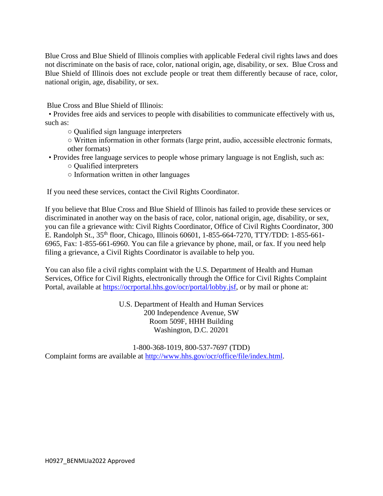Blue Shield of Illinois does not exclude people or treat them differently because of race, color, Blue Cross and Blue Shield of Illinois complies with applicable Federal civil rights laws and does not discriminate on the basis of race, color, national origin, age, disability, or sex. Blue Cross and national origin, age, disability, or sex.

Blue Cross and Blue Shield of Illinois:

• Provides free aids and services to people with disabilities to communicate effectively with us, such as:

- Qualified sign language interpreters
- Written information in other formats (large print, audio, accessible electronic formats, other formats)
- Provides free language services to people whose primary language is not English, such as:
	- Qualified interpreters
	- Information written in other languages

If you need these services, contact the Civil Rights Coordinator.

 you can file a grievance with: Civil Rights Coordinator, Office of Civil Rights Coordinator, 300 If you believe that Blue Cross and Blue Shield of Illinois has failed to provide these services or discriminated in another way on the basis of race, color, national origin, age, disability, or sex, E. Randolph St., 35<sup>th</sup> floor, Chicago, Illinois 60601, 1-855-664-7270, TTY/TDD: 1-855-661-6965, Fax: 1-855-661-6960. You can file a grievance by phone, mail, or fax. If you need help filing a grievance, a Civil Rights Coordinator is available to help you.

You can also file a civil rights complaint with the U.S. Department of Health and Human Services, Office for Civil Rights, electronically through the Office for Civil Rights Complaint Portal, available at [https://ocrportal.hhs.gov/ocr/portal/lobby.jsf,](https://ocrportal.hhs.gov/ocr/portal/lobby.jsf) or by mail or phone at:

> U.S. Department of Health and Human Services 200 Independence Avenue, SW Room 509F, HHH Building Washington, D.C. 20201

1-800-368-1019, 800-537-7697 (TDD) Complaint forms are available at [http://www.hhs.gov/ocr/office/file/index.html.](http://www.hhs.gov/ocr/office/file/index.html)